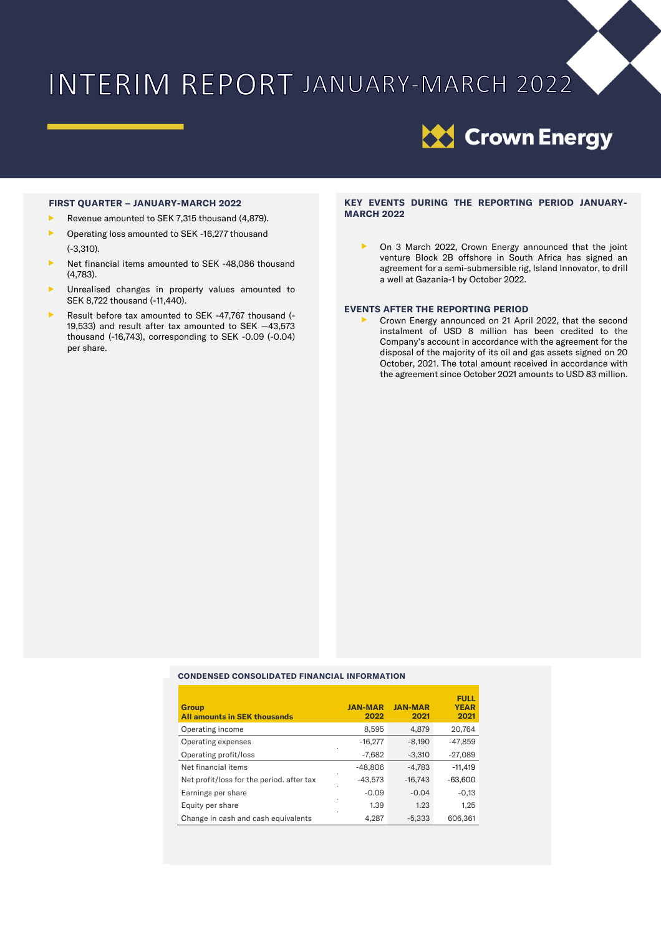# INTERIM REPORT JANUARY-MARCH 2022



#### **FIRST QUARTER – JANUARY-MARCH 2022**

- Revenue amounted to SEK 7,315 thousand (4,879).
- **D** Operating loss amounted to SEK -16,277 thousand (-3,310).
- Net financial items amounted to SEK -48,086 thousand (4,783).
- **D** Unrealised changes in property values amounted to SEK 8,722 thousand (-11,440).
- Result before tax amounted to SEK -47,767 thousand (- 19,533) and result after tax amounted to SEK —43,573 thousand (-16,743), corresponding to SEK -0.09 (-0.04) per share.

#### **KEY EVENTS DURING THE REPORTING PERIOD JANUARY-MARCH 2022**

 On 3 March 2022, Crown Energy announced that the joint venture Block 2B offshore in South Africa has signed an agreement for a semi-submersible rig, Island Innovator, to drill a well at Gazania-1 by October 2022.

#### **EVENTS AFTER THE REPORTING PERIOD**

 Crown Energy announced on 21 April 2022, that the second instalment of USD 8 million has been credited to the Company's account in accordance with the agreement for the disposal of the majority of its oil and gas assets signed on 20 October, 2021. The total amount received in accordance with the agreement since October 2021 amounts to USD 83 million.

#### **CONDENSED CONSOLIDATED FINANCIAL INFORMATION**

| <b>Group</b><br><b>All amounts in SEK thousands</b> | <b>JAN-MAR</b><br>2022 | <b>JAN-MAR</b><br>2021 | <b>FULL</b><br><b>YEAR</b><br>2021 |
|-----------------------------------------------------|------------------------|------------------------|------------------------------------|
| Operating income                                    | 8,595                  | 4.879                  | 20.764                             |
| Operating expenses                                  | $-16,277$              | $-8.190$               | -47,859                            |
| Operating profit/loss                               | $-7.682$               | $-3.310$               | $-27.089$                          |
| Net financial items                                 | $-48.806$              | $-4.783$               | $-11.419$                          |
| Net profit/loss for the period. after tax           | $-43.573$              | $-16.743$              | $-63.600$                          |
| Earnings per share                                  | $-0.09$                | $-0.04$                | $-0,13$                            |
| Equity per share                                    | 1.39                   | 1.23                   | 1,25                               |
| Change in cash and cash equivalents                 | 4.287                  | $-5.333$               | 606.361                            |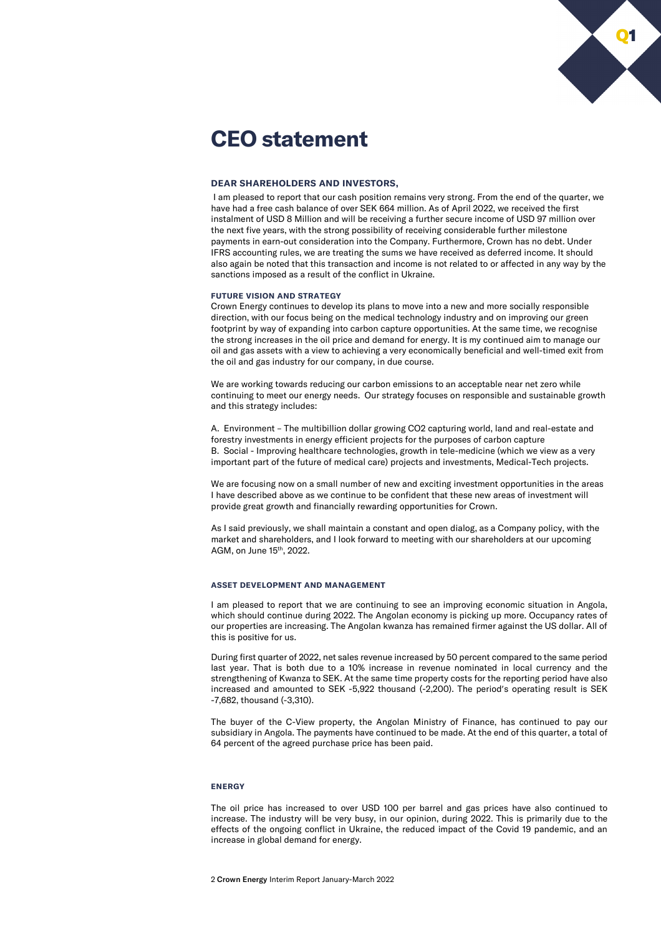

## **CEO statement**

#### **DEAR SHAREHOLDERS AND INVESTORS,**

I am pleased to report that our cash position remains very strong. From the end of the quarter, we have had a free cash balance of over SEK 664 million. As of April 2022, we received the first instalment of USD 8 Million and will be receiving a further secure income of USD 97 million over the next five years, with the strong possibility of receiving considerable further milestone payments in earn-out consideration into the Company. Furthermore, Crown has no debt. Under IFRS accounting rules, we are treating the sums we have received as deferred income. It should also again be noted that this transaction and income is not related to or affected in any way by the sanctions imposed as a result of the conflict in Ukraine.

#### **FUTURE VISION AND STRATEGY**

Crown Energy continues to develop its plans to move into a new and more socially responsible direction, with our focus being on the medical technology industry and on improving our green footprint by way of expanding into carbon capture opportunities. At the same time, we recognise the strong increases in the oil price and demand for energy. It is my continued aim to manage our oil and gas assets with a view to achieving a very economically beneficial and well-timed exit from the oil and gas industry for our company, in due course.

We are working towards reducing our carbon emissions to an acceptable near net zero while continuing to meet our energy needs. Our strategy focuses on responsible and sustainable growth and this strategy includes:

A. Environment – The multibillion dollar growing CO2 capturing world, land and real-estate and forestry investments in energy efficient projects for the purposes of carbon capture B. Social - Improving healthcare technologies, growth in tele-medicine (which we view as a very important part of the future of medical care) projects and investments, Medical-Tech projects.

We are focusing now on a small number of new and exciting investment opportunities in the areas I have described above as we continue to be confident that these new areas of investment will provide great growth and financially rewarding opportunities for Crown.

As I said previously, we shall maintain a constant and open dialog, as a Company policy, with the market and shareholders, and I look forward to meeting with our shareholders at our upcoming AGM, on June 15th, 2022.

#### **ASSET DEVELOPMENT AND MANAGEMENT**

I am pleased to report that we are continuing to see an improving economic situation in Angola, which should continue during 2022. The Angolan economy is picking up more. Occupancy rates of our properties are increasing. The Angolan kwanza has remained firmer against the US dollar. All of this is positive for us.

During first quarter of 2022, net sales revenue increased by 50 percent compared to the same period last year. That is both due to a 10% increase in revenue nominated in local currency and the strengthening of Kwanza to SEK. At the same time property costs for the reporting period have also increased and amounted to SEK -5,922 thousand (-2,200). The period's operating result is SEK -7,682, thousand (-3,310).

The buyer of the C-View property, the Angolan Ministry of Finance, has continued to pay our subsidiary in Angola. The payments have continued to be made. At the end of this quarter, a total of 64 percent of the agreed purchase price has been paid.

#### **ENERGY**

The oil price has increased to over USD 100 per barrel and gas prices have also continued to increase. The industry will be very busy, in our opinion, during 2022. This is primarily due to the effects of the ongoing conflict in Ukraine, the reduced impact of the Covid 19 pandemic, and an increase in global demand for energy.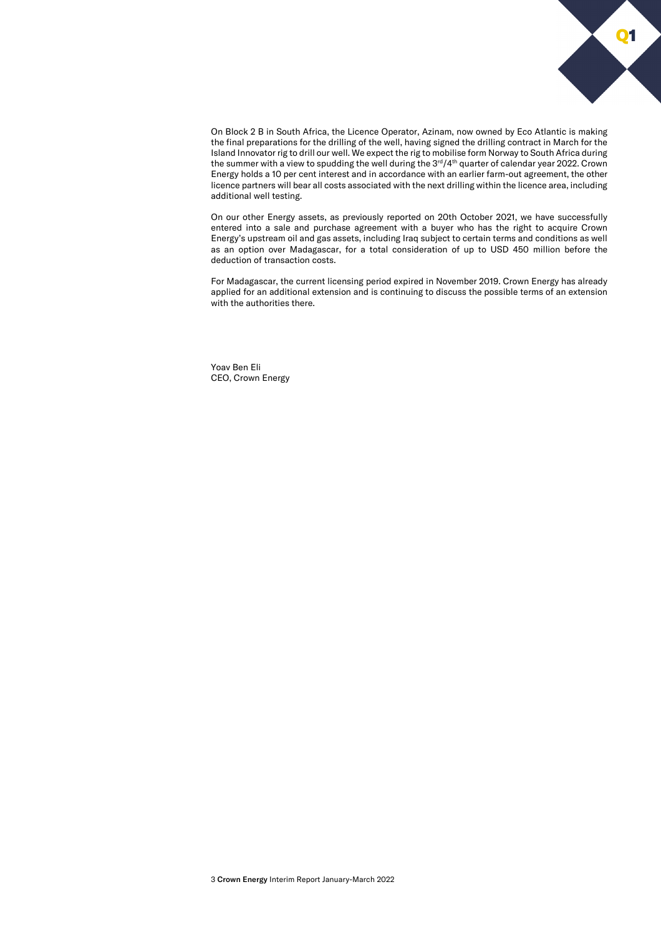

On Block 2 B in South Africa, the Licence Operator, Azinam, now owned by Eco Atlantic is making the final preparations for the drilling of the well, having signed the drilling contract in March for the Island Innovator rig to drill our well. We expect the rig to mobilise form Norway to South Africa during the summer with a view to spudding the well during the 3<sup>rd</sup>/4<sup>th</sup> quarter of calendar year 2022. Crown Energy holds a 10 per cent interest and in accordance with an earlier farm-out agreement, the other licence partners will bear all costs associated with the next drilling within the licence area, including additional well testing.

On our other Energy assets, as previously reported on 20th October 2021, we have successfully entered into a sale and purchase agreement with a buyer who has the right to acquire Crown Energy's upstream oil and gas assets, including Iraq subject to certain terms and conditions as well as an option over Madagascar, for a total consideration of up to USD 450 million before the deduction of transaction costs.

For Madagascar, the current licensing period expired in November 2019. Crown Energy has already applied for an additional extension and is continuing to discuss the possible terms of an extension with the authorities there.

Yoav Ben Eli CEO, Crown Energy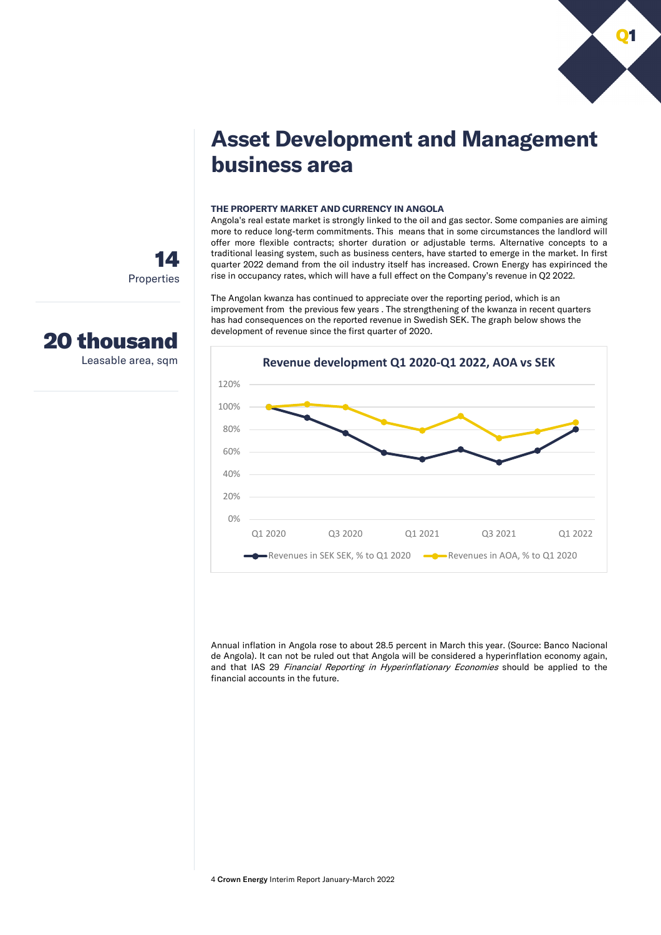

# **Asset Development and Management business area**

#### **THE PROPERTY MARKET AND CURRENCY IN ANGOLA**

Angola's real estate market is strongly linked to the oil and gas sector. Some companies are aiming more to reduce long-term commitments. This means that in some circumstances the landlord will offer more flexible contracts; shorter duration or adjustable terms. Alternative concepts to a traditional leasing system, such as business centers, have started to emerge in the market. In first quarter 2022 demand from the oil industry itself has increased. Crown Energy has expirinced the rise in occupancy rates, which will have a full effect on the Company's revenue in Q2 2022.

The Angolan kwanza has continued to appreciate over the reporting period, which is an improvement from the previous few years . The strengthening of the kwanza in recent quarters has had consequences on the reported revenue in Swedish SEK. The graph below shows the development of revenue since the first quarter of 2020.



Annual inflation in Angola rose to about 28.5 percent in March this year. (Source: Banco Nacional de Angola). It can not be ruled out that Angola will be considered a hyperinflation economy again, and that IAS 29 Financial Reporting in Hyperinflationary Economies should be applied to the financial accounts in the future.

14 Properties



Leasable area, sqm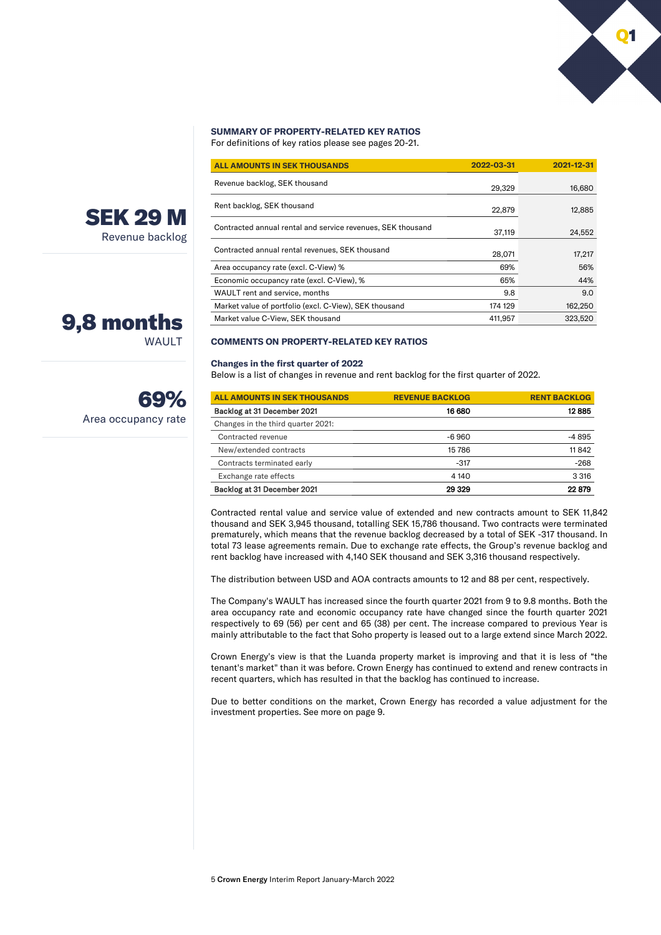### **SUMMARY OF PROPERTY-RELATED KEY RATIOS**

For definitions of key ratios please see pages 20-21.

| <b>ALL AMOUNTS IN SEK THOUSANDS</b>                         | 2022-03-31 | 2021-12-31 |
|-------------------------------------------------------------|------------|------------|
| Revenue backlog, SEK thousand                               | 29.329     | 16,680     |
| Rent backlog, SEK thousand                                  | 22,879     | 12,885     |
| Contracted annual rental and service revenues, SEK thousand | 37,119     | 24,552     |
| Contracted annual rental revenues, SEK thousand             | 28,071     | 17,217     |
| Area occupancy rate (excl. C-View) %                        | 69%        | 56%        |
| Economic occupancy rate (excl. C-View), %                   | 65%        | 44%        |
| WAULT rent and service, months                              | 9.8        | 9.0        |
| Market value of portfolio (excl. C-View), SEK thousand      | 174 129    | 162,250    |
| Market value C-View, SEK thousand                           | 411.957    | 323.520    |

#### **COMMENTS ON PROPERTY-RELATED KEY RATIOS**

#### **Changes in the first quarter of 2022**

Below is a list of changes in revenue and rent backlog for the first quarter of 2022.

| <b>ALL AMOUNTS IN SEK THOUSANDS</b> | <b>REVENUE BACKLOG</b> | <b>RENT BACKLOG</b> |
|-------------------------------------|------------------------|---------------------|
| Backlog at 31 December 2021         | 16 680                 | 12885               |
| Changes in the third quarter 2021:  |                        |                     |
| Contracted revenue                  | $-6960$                | -4895               |
| New/extended contracts              | 15786                  | 11842               |
| Contracts terminated early          | $-317$                 | $-268$              |
| Exchange rate effects               | 4 1 4 0                | 3 3 1 6             |
| Backlog at 31 December 2021         | 29 329                 | 22879               |

Contracted rental value and service value of extended and new contracts amount to SEK 11,842 thousand and SEK 3,945 thousand, totalling SEK 15,786 thousand. Two contracts were terminated prematurely, which means that the revenue backlog decreased by a total of SEK -317 thousand. In total 73 lease agreements remain. Due to exchange rate effects, the Group's revenue backlog and rent backlog have increased with 4,140 SEK thousand and SEK 3,316 thousand respectively.

The distribution between USD and AOA contracts amounts to 12 and 88 per cent, respectively.

The Company's WAULT has increased since the fourth quarter 2021 from 9 to 9.8 months. Both the area occupancy rate and economic occupancy rate have changed since the fourth quarter 2021 respectively to 69 (56) per cent and 65 (38) per cent. The increase compared to previous Year is mainly attributable to the fact that Soho property is leased out to a large extend since March 2022.

Crown Energy's view is that the Luanda property market is improving and that it is less of "the tenant's market" than it was before. Crown Energy has continued to extend and renew contracts in recent quarters, which has resulted in that the backlog has continued to increase.

Due to better conditions on the market, Crown Energy has recorded a value adjustment for the investment properties. See more on page 9.



WAULT

Area occupancy rate

69%

9,8 months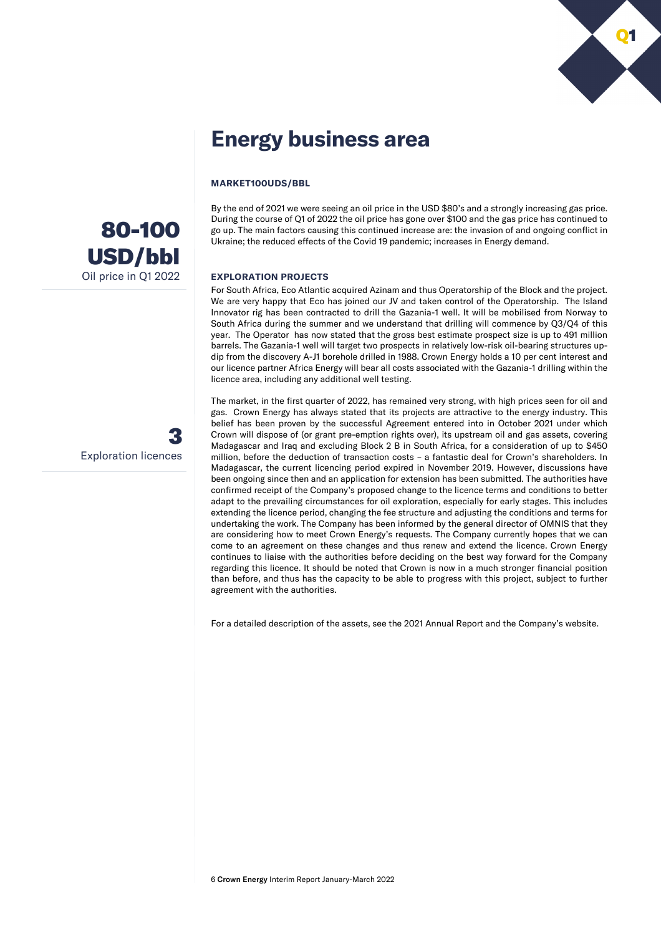

# **Energy business area**

#### **MARKET100UDS/BBL**

By the end of 2021 we were seeing an oil price in the USD \$80's and a strongly increasing gas price. During the course of Q1 of 2022 the oil price has gone over \$100 and the gas price has continued to go up. The main factors causing this continued increase are: the invasion of and ongoing conflict in Ukraine; the reduced effects of the Covid 19 pandemic; increases in Energy demand.

#### **EXPLORATION PROJECTS**

For South Africa, Eco Atlantic acquired Azinam and thus Operatorship of the Block and the project. We are very happy that Eco has joined our JV and taken control of the Operatorship. The Island Innovator rig has been contracted to drill the Gazania-1 well. It will be mobilised from Norway to South Africa during the summer and we understand that drilling will commence by Q3/Q4 of this year. The Operator has now stated that the gross best estimate prospect size is up to 491 million barrels. The Gazania-1 well will target two prospects in relatively low-risk oil-bearing structures updip from the discovery A-J1 borehole drilled in 1988. Crown Energy holds a 10 per cent interest and our licence partner Africa Energy will bear all costs associated with the Gazania-1 drilling within the licence area, including any additional well testing.

The market, in the first quarter of 2022, has remained very strong, with high prices seen for oil and gas. Crown Energy has always stated that its projects are attractive to the energy industry. This belief has been proven by the successful Agreement entered into in October 2021 under which Crown will dispose of (or grant pre-emption rights over), its upstream oil and gas assets, covering Madagascar and Iraq and excluding Block 2 B in South Africa, for a consideration of up to \$450 million, before the deduction of transaction costs – a fantastic deal for Crown's shareholders. In Madagascar, the current licencing period expired in November 2019. However, discussions have been ongoing since then and an application for extension has been submitted. The authorities have confirmed receipt of the Company's proposed change to the licence terms and conditions to better adapt to the prevailing circumstances for oil exploration, especially for early stages. This includes extending the licence period, changing the fee structure and adjusting the conditions and terms for undertaking the work. The Company has been informed by the general director of OMNIS that they are considering how to meet Crown Energy's requests. The Company currently hopes that we can come to an agreement on these changes and thus renew and extend the licence. Crown Energy continues to liaise with the authorities before deciding on the best way forward for the Company regarding this licence. It should be noted that Crown is now in a much stronger financial position than before, and thus has the capacity to be able to progress with this project, subject to further agreement with the authorities.

For a detailed description of the assets, see the 2021 Annual Report and the Company's website.



3 Exploration licences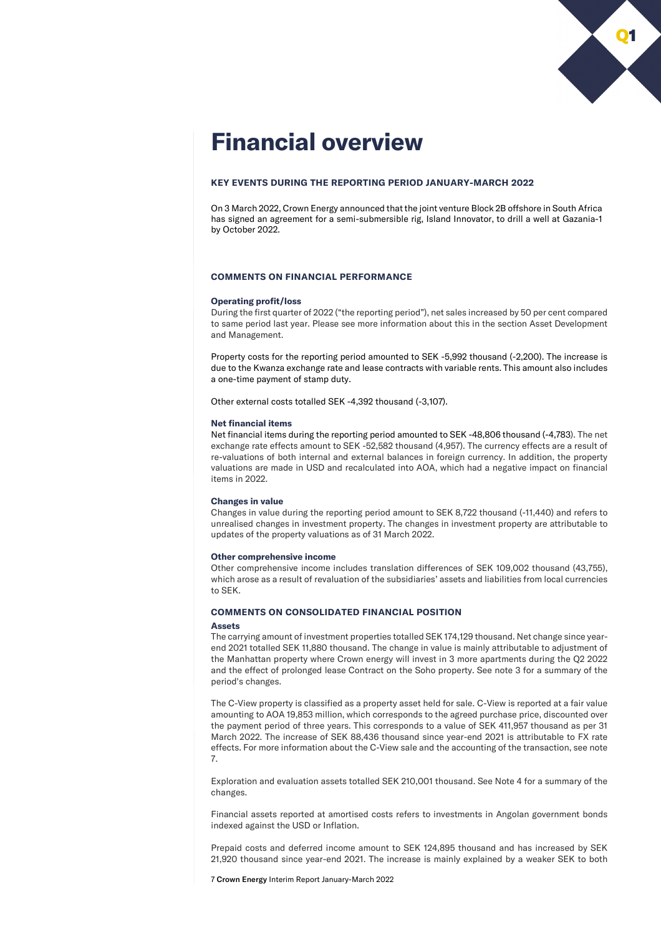

# **Financial overview**

#### **KEY EVENTS DURING THE REPORTING PERIOD JANUARY-MARCH 2022**

On 3 March 2022, Crown Energy announced that the joint venture Block 2B offshore in South Africa has signed an agreement for a semi-submersible rig, Island Innovator, to drill a well at Gazania-1 by October 2022.

#### **COMMENTS ON FINANCIAL PERFORMANCE**

#### **Operating profit/loss**

During the first quarter of 2022 ("the reporting period"), net sales increased by 50 per cent compared to same period last year. Please see more information about this in the section Asset Development and Management.

Property costs for the reporting period amounted to SEK -5,992 thousand (-2,200). The increase is due to the Kwanza exchange rate and lease contracts with variable rents. This amount also includes a one-time payment of stamp duty.

Other external costs totalled SEK -4,392 thousand (-3,107).

#### **Net financial items**

Net financial items during the reporting period amounted to SEK -48,806 thousand (-4,783). The net exchange rate effects amount to SEK -52,582 thousand (4,957). The currency effects are a result of re-valuations of both internal and external balances in foreign currency. In addition, the property valuations are made in USD and recalculated into AOA, which had a negative impact on financial items in 2022.

#### **Changes in value**

Changes in value during the reporting period amount to SEK 8,722 thousand (-11,440) and refers to unrealised changes in investment property. The changes in investment property are attributable to updates of the property valuations as of 31 March 2022.

#### **Other comprehensive income**

Other comprehensive income includes translation differences of SEK 109,002 thousand (43,755), which arose as a result of revaluation of the subsidiaries' assets and liabilities from local currencies to SEK.

#### **COMMENTS ON CONSOLIDATED FINANCIAL POSITION**

#### **Assets**

The carrying amount of investment properties totalled SEK 174,129 thousand. Net change since yearend 2021 totalled SEK 11,880 thousand. The change in value is mainly attributable to adjustment of the Manhattan property where Crown energy will invest in 3 more apartments during the Q2 2022 and the effect of prolonged lease Contract on the Soho property. See note 3 for a summary of the period's changes.

The C-View property is classified as a property asset held for sale. C-View is reported at a fair value amounting to AOA 19,853 million, which corresponds to the agreed purchase price, discounted over the payment period of three years. This corresponds to a value of SEK 411,957 thousand as per 31 March 2022. The increase of SEK 88,436 thousand since year-end 2021 is attributable to FX rate effects. For more information about the C-View sale and the accounting of the transaction, see note 7.

Exploration and evaluation assets totalled SEK 210,001 thousand. See Note 4 for a summary of the changes.

Financial assets reported at amortised costs refers to investments in Angolan government bonds indexed against the USD or Inflation.

Prepaid costs and deferred income amount to SEK 124,895 thousand and has increased by SEK 21,920 thousand since year-end 2021. The increase is mainly explained by a weaker SEK to both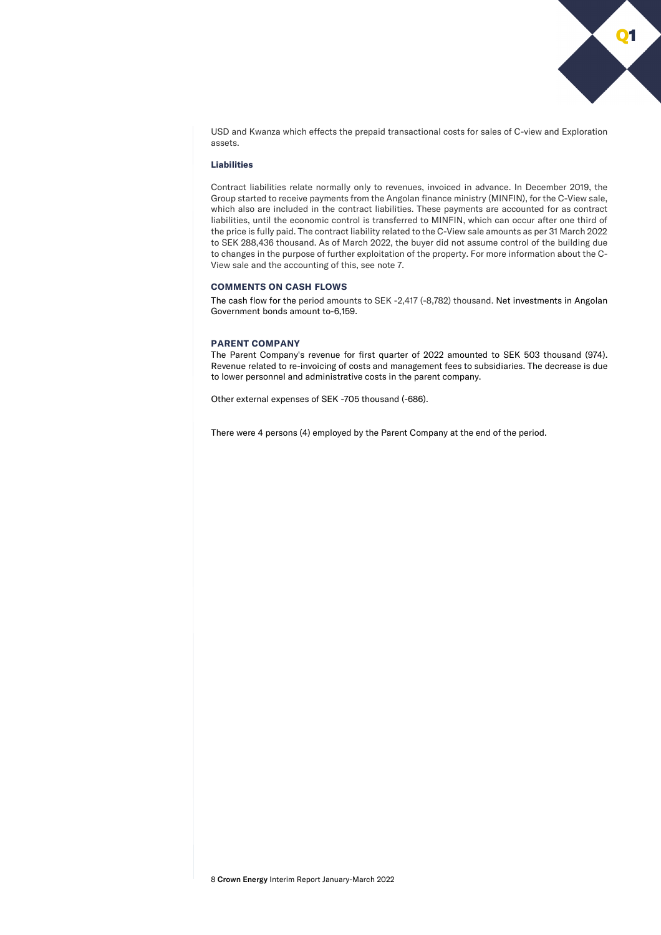Q1

USD and Kwanza which effects the prepaid transactional costs for sales of C-view and Exploration assets.

#### **Liabilities**

Contract liabilities relate normally only to revenues, invoiced in advance. In December 2019, the Group started to receive payments from the Angolan finance ministry (MINFIN), for the C-View sale, which also are included in the contract liabilities. These payments are accounted for as contract liabilities, until the economic control is transferred to MINFIN, which can occur after one third of the price is fully paid. The contract liability related to the C-View sale amounts as per 31 March 2022 to SEK 288,436 thousand. As of March 2022, the buyer did not assume control of the building due to changes in the purpose of further exploitation of the property. For more information about the C-View sale and the accounting of this, see note 7.

#### **COMMENTS ON CASH FLOWS**

The cash flow for the period amounts to SEK -2,417 (-8,782) thousand. Net investments in Angolan Government bonds amount to-6,159.

#### **PARENT COMPANY**

The Parent Company's revenue for first quarter of 2022 amounted to SEK 503 thousand (974). Revenue related to re-invoicing of costs and management fees to subsidiaries. The decrease is due to lower personnel and administrative costs in the parent company.

Other external expenses of SEK -705 thousand (-686).

There were 4 persons (4) employed by the Parent Company at the end of the period.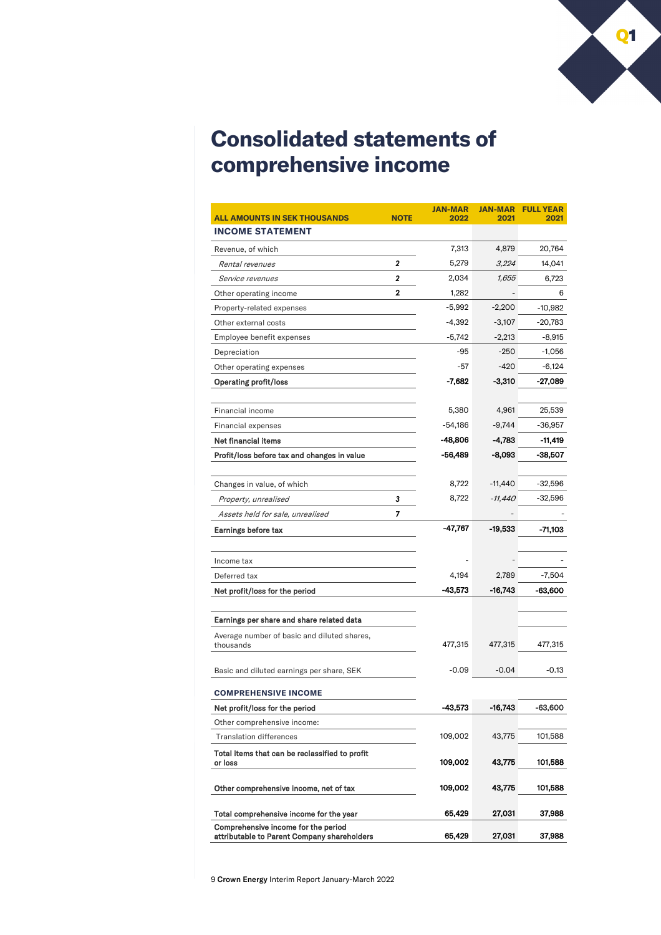

# **Consolidated statements of comprehensive income**

| <b>ALL AMOUNTS IN SEK THOUSANDS</b>                                                | <b>NOTE</b> | <b>JAN-MAR</b><br>2022 | <b>JAN-MAR</b><br>2021 | <b>FULL YEAR</b><br>2021 |
|------------------------------------------------------------------------------------|-------------|------------------------|------------------------|--------------------------|
| <b>INCOME STATEMENT</b>                                                            |             |                        |                        |                          |
| Revenue, of which                                                                  |             | 7,313                  | 4,879                  | 20,764                   |
| Rental revenues                                                                    | 2           | 5,279                  | 3,224                  | 14,041                   |
| Service revenues                                                                   | 2           | 2,034                  | 1,655                  | 6,723                    |
| Other operating income                                                             | 2           | 1,282                  |                        | 6                        |
| Property-related expenses                                                          |             | $-5,992$               | $-2,200$               | $-10,982$                |
| Other external costs                                                               |             | $-4,392$               | $-3,107$               | $-20,783$                |
| Employee benefit expenses                                                          |             | $-5,742$               | $-2,213$               | -8,915                   |
| Depreciation                                                                       |             | -95                    | $-250$                 | -1,056                   |
| Other operating expenses                                                           |             | -57                    | $-420$                 | $-6,124$                 |
| <b>Operating profit/loss</b>                                                       |             | $-7,682$               | $-3,310$               | -27,089                  |
|                                                                                    |             |                        |                        |                          |
| Financial income                                                                   |             | 5,380                  | 4,961                  | 25,539                   |
| Financial expenses                                                                 |             | -54,186                | $-9,744$               | -36,957                  |
| Net financial items                                                                |             | -48,806                | -4,783                 | -11,419                  |
| Profit/loss before tax and changes in value                                        |             | -56,489                | -8,093                 | -38,507                  |
|                                                                                    |             |                        |                        |                          |
| Changes in value, of which                                                         |             | 8,722                  | $-11,440$              | -32,596                  |
| Property, unrealised                                                               | 3           | 8,722                  | -11,440                | -32,596                  |
| Assets held for sale, unrealised                                                   | 7           |                        |                        |                          |
| Earnings before tax                                                                |             | -47,767                | -19,533                | -71,103                  |
|                                                                                    |             |                        |                        |                          |
| Income tax                                                                         |             |                        |                        |                          |
| Deferred tax                                                                       |             | 4,194                  | 2,789                  | $-7,504$                 |
| Net profit/loss for the period                                                     |             | -43,573                | -16,743                | -63,600                  |
| Earnings per share and share related data                                          |             |                        |                        |                          |
| Average number of basic and diluted shares,                                        |             |                        |                        |                          |
| thousands                                                                          |             | 477,315                | 477,315                | 477,315                  |
|                                                                                    |             |                        |                        | $-0.13$                  |
| Basic and diluted earnings per share, SEK                                          |             | $-0.09$                | $-0.04$                |                          |
| <b>COMPREHENSIVE INCOME</b>                                                        |             |                        |                        |                          |
| Net profit/loss for the period                                                     |             | -43,573                | -16,743                | -63,600                  |
| Other comprehensive income:                                                        |             |                        |                        |                          |
| <b>Translation differences</b>                                                     |             | 109,002                | 43,775                 | 101,588                  |
| Total items that can be reclassified to profit<br>or loss                          |             | 109,002                | 43,775                 | 101,588                  |
| Other comprehensive income, net of tax                                             |             | 109,002                | 43,775                 | 101,588                  |
| Total comprehensive income for the year                                            |             | 65,429                 | 27,031                 | 37,988                   |
| Comprehensive income for the period<br>attributable to Parent Company shareholders |             | 65,429                 | 27,031                 | 37,988                   |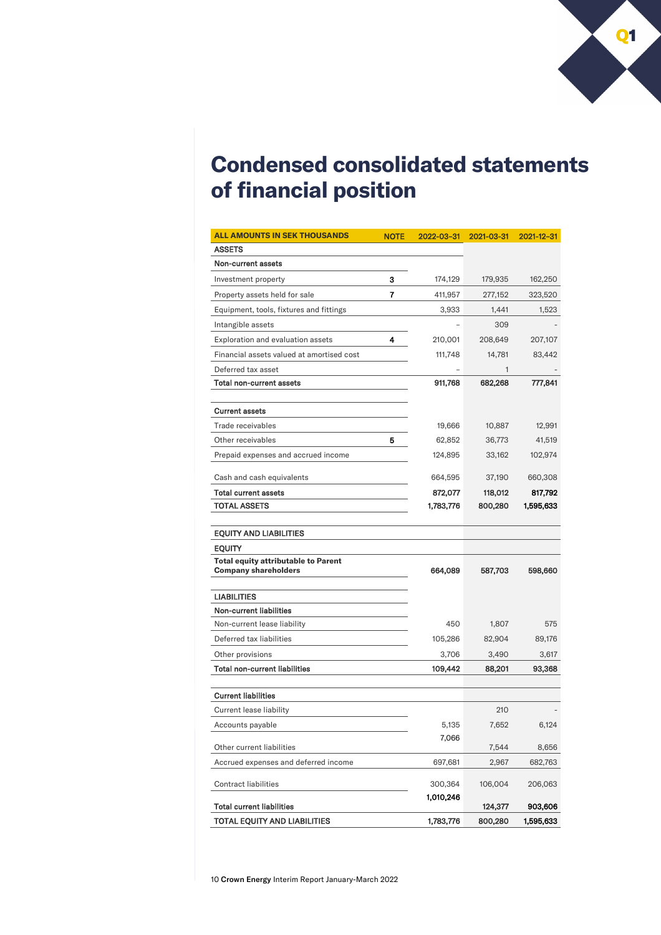

# **Condensed consolidated statements of financial position**

| <b>ALL AMOUNTS IN SEK THOUSANDS</b>                                       | <b>NOTE</b> | 2022-03-31           | 2021-03-31 | 2021-12-31 |
|---------------------------------------------------------------------------|-------------|----------------------|------------|------------|
| <b>ASSETS</b>                                                             |             |                      |            |            |
| Non-current assets                                                        |             |                      |            |            |
| Investment property                                                       | 3           | 174,129              | 179,935    | 162,250    |
| Property assets held for sale                                             | 7           | 411,957              | 277,152    | 323,520    |
| Equipment, tools, fixtures and fittings                                   |             | 3,933                | 1,441      | 1,523      |
| Intangible assets                                                         |             |                      | 309        |            |
| Exploration and evaluation assets                                         | 4           | 210,001              | 208,649    | 207,107    |
| Financial assets valued at amortised cost                                 |             | 111,748              | 14,781     | 83,442     |
| Deferred tax asset                                                        |             |                      | 1          |            |
| Total non-current assets                                                  |             | 911,768              | 682,268    | 777,841    |
|                                                                           |             |                      |            |            |
| <b>Current assets</b>                                                     |             |                      |            |            |
| Trade receivables                                                         |             | 19,666               | 10,887     | 12,991     |
| Other receivables                                                         | 5           | 62,852               | 36,773     | 41,519     |
| Prepaid expenses and accrued income                                       |             | 124,895              | 33,162     | 102,974    |
| Cash and cash equivalents                                                 |             | 664,595              | 37,190     | 660,308    |
| <b>Total current assets</b>                                               |             | 872,077              | 118,012    | 817,792    |
| <b>TOTAL ASSETS</b>                                                       |             | 1,783,776            | 800,280    | 1,595,633  |
|                                                                           |             |                      |            |            |
| <b>EQUITY AND LIABILITIES</b>                                             |             |                      |            |            |
| <b>EQUITY</b>                                                             |             |                      |            |            |
| <b>Total equity attributable to Parent</b><br><b>Company shareholders</b> |             | 664,089              | 587,703    | 598,660    |
| <b>LIABILITIES</b>                                                        |             |                      |            |            |
| <b>Non-current liabilities</b>                                            |             |                      |            |            |
| Non-current lease liability                                               |             | 450                  | 1,807      | 575        |
| Deferred tax liabilities                                                  |             | 105,286              | 82,904     | 89,176     |
| Other provisions                                                          |             | 3,706                | 3,490      | 3,617      |
| Total non-current liabilities                                             |             | 109,442              | 88,201     | 93,368     |
| <b>Current liabilities</b>                                                |             |                      |            |            |
| Current lease liability                                                   |             |                      | 210        |            |
| Accounts payable                                                          |             | 5,135                | 7,652      | 6,124      |
| Other current liabilities                                                 |             | 7,066                | 7,544      | 8,656      |
| Accrued expenses and deferred income                                      |             | 697,681              | 2,967      | 682,763    |
|                                                                           |             |                      |            |            |
| <b>Contract liabilities</b>                                               |             | 300,364<br>1,010,246 | 106,004    | 206,063    |
| <b>Total current liabilities</b>                                          |             |                      | 124,377    | 903,606    |
| TOTAL EQUITY AND LIABILITIES                                              |             | 1,783,776            | 800,280    | 1,595,633  |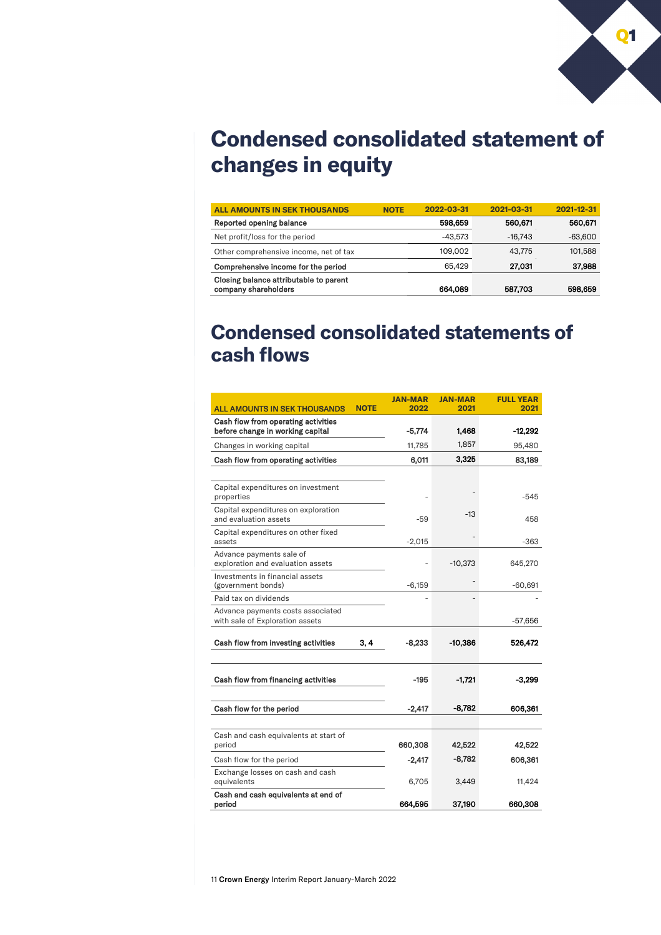

# **Condensed consolidated statement of changes in equity**

| 2022-03-31<br>598,659 | 2021-03-31<br>560,671 | 2021-12-31<br>560,671          |
|-----------------------|-----------------------|--------------------------------|
|                       |                       |                                |
|                       |                       |                                |
| -43.573               |                       | $-63,600$                      |
| 109.002               | 43.775                | 101,588                        |
| 65.429                |                       | 37,988                         |
| 664,089               |                       | 598,659                        |
|                       |                       | $-16.743$<br>27,031<br>587,703 |

# **Condensed consolidated statements of cash flows**

| <b>ALL AMOUNTS IN SEK THOUSANDS</b>                                     | <b>NOTE</b> | <b>JAN-MAR</b><br>2022 | <b>JAN-MAR</b><br>2021 | <b>FULL YEAR</b><br>2021 |
|-------------------------------------------------------------------------|-------------|------------------------|------------------------|--------------------------|
| Cash flow from operating activities<br>before change in working capital |             | $-5,774$               | 1,468                  | $-12,292$                |
| Changes in working capital                                              |             | 11,785                 | 1,857                  | 95,480                   |
| Cash flow from operating activities                                     |             | 6,011                  | 3,325                  | 83,189                   |
|                                                                         |             |                        |                        |                          |
| Capital expenditures on investment<br>properties                        |             |                        |                        | $-545$                   |
| Capital expenditures on exploration<br>and evaluation assets            |             | $-59$                  | $-13$                  | 458                      |
| Capital expenditures on other fixed<br>assets                           |             | $-2,015$               |                        | $-363$                   |
| Advance payments sale of<br>exploration and evaluation assets           |             |                        | $-10,373$              | 645,270                  |
| Investments in financial assets<br>(government bonds)                   |             | $-6.159$               |                        | $-60,691$                |
| Paid tax on dividends                                                   |             |                        |                        |                          |
| Advance payments costs associated<br>with sale of Exploration assets    |             |                        |                        | $-57,656$                |
| Cash flow from investing activities                                     | 3, 4        | $-8.233$               | $-10,386$              | 526,472                  |
| Cash flow from financing activities                                     |             | $-195$                 | $-1,721$               | $-3,299$                 |
| Cash flow for the period                                                |             | $-2,417$               | $-8,782$               | 606,361                  |
| Cash and cash equivalents at start of<br>period                         |             | 660,308                | 42,522                 | 42,522                   |
| Cash flow for the period                                                |             | $-2,417$               | $-8,782$               | 606,361                  |
| Exchange losses on cash and cash<br>equivalents                         |             | 6,705                  | 3,449                  | 11,424                   |
| Cash and cash equivalents at end of<br>period                           |             | 664,595                | 37,190                 | 660,308                  |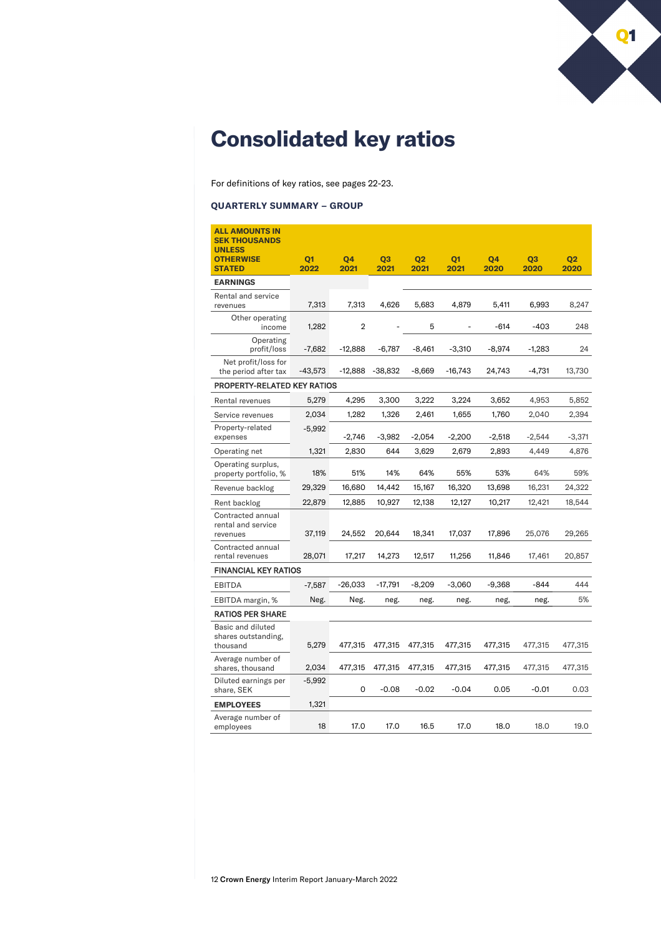

# **Consolidated key ratios**

For definitions of key ratios, see pages 22-23.

### **QUARTERLY SUMMARY – GROUP**

| <b>ALL AMOUNTS IN</b><br><b>SEK THOUSANDS</b>        |                |           |                |                |                |          |                |                |
|------------------------------------------------------|----------------|-----------|----------------|----------------|----------------|----------|----------------|----------------|
| <b>UNLESS</b><br><b>OTHERWISE</b>                    | Q <sub>1</sub> | Q4        | Q <sub>3</sub> | Q <sub>2</sub> | Q <sub>1</sub> | Q4       | Q <sub>3</sub> | Q <sub>2</sub> |
| <b>STATED</b>                                        | 2022           | 2021      | 2021           | 2021           | 2021           | 2020     | 2020           | 2020           |
| <b>EARNINGS</b>                                      |                |           |                |                |                |          |                |                |
| Rental and service<br>revenues                       | 7,313          | 7,313     | 4,626          | 5,683          | 4,879          | 5,411    | 6,993          | 8,247          |
| Other operating<br>income                            | 1,282          | 2         |                | 5              |                | $-614$   | $-403$         | 248            |
| Operating<br>profit/loss                             | $-7,682$       | $-12,888$ | $-6,787$       | $-8,461$       | $-3,310$       | $-8,974$ | $-1,283$       | 24             |
| Net profit/loss for<br>the period after tax          | -43,573        | $-12,888$ | -38,832        | -8,669         | -16,743        | 24,743   | -4,731         | 13,730         |
| PROPERTY-RELATED KEY RATIOS                          |                |           |                |                |                |          |                |                |
| Rental revenues                                      | 5.279          | 4,295     | 3,300          | 3,222          | 3.224          | 3,652    | 4,953          | 5,852          |
| Service revenues                                     | 2,034          | 1,282     | 1,326          | 2,461          | 1,655          | 1,760    | 2,040          | 2,394          |
| Property-related<br>expenses                         | $-5,992$       | $-2,746$  | $-3,982$       | $-2,054$       | $-2,200$       | $-2,518$ | $-2,544$       | $-3,371$       |
| Operating net                                        | 1,321          | 2,830     | 644            | 3,629          | 2,679          | 2,893    | 4,449          | 4,876          |
| Operating surplus,<br>property portfolio, %          | 18%            | 51%       | 14%            | 64%            | 55%            | 53%      | 64%            | 59%            |
| Revenue backlog                                      | 29,329         | 16,680    | 14,442         | 15,167         | 16,320         | 13,698   | 16,231         | 24,322         |
| Rent backlog                                         | 22,879         | 12,885    | 10,927         | 12,138         | 12,127         | 10,217   | 12,421         | 18,544         |
| Contracted annual<br>rental and service<br>revenues  | 37,119         | 24,552    | 20,644         | 18,341         | 17,037         | 17,896   | 25,076         | 29,265         |
| Contracted annual<br>rental revenues                 | 28,071         | 17,217    | 14,273         | 12,517         | 11,256         | 11,846   | 17,461         | 20,857         |
| <b>FINANCIAL KEY RATIOS</b>                          |                |           |                |                |                |          |                |                |
| <b>EBITDA</b>                                        | $-7.587$       | $-26,033$ | $-17,791$      | $-8,209$       | $-3,060$       | $-9,368$ | $-844$         | 444            |
| EBITDA margin, %                                     | Neg.           | Neg.      | neg.           | neg.           | neg.           | neg,     | neg.           | 5%             |
| <b>RATIOS PER SHARE</b>                              |                |           |                |                |                |          |                |                |
| Basic and diluted<br>shares outstanding,<br>thousand | 5,279          | 477,315   | 477,315        | 477,315        | 477,315        | 477,315  | 477,315        | 477,315        |
| Average number of<br>shares, thousand                | 2,034          | 477,315   | 477,315        | 477,315        | 477,315        | 477,315  | 477,315        | 477,315        |
| Diluted earnings per<br>share, SEK                   | $-5,992$       | 0         | $-0.08$        | $-0.02$        | $-0.04$        | 0.05     | $-0.01$        | 0.03           |
| <b>EMPLOYEES</b>                                     | 1,321          |           |                |                |                |          |                |                |
| Average number of<br>employees                       | 18             | 17.0      | 17.0           | 16.5           | 17.0           | 18.0     | 18.0           | 19.0           |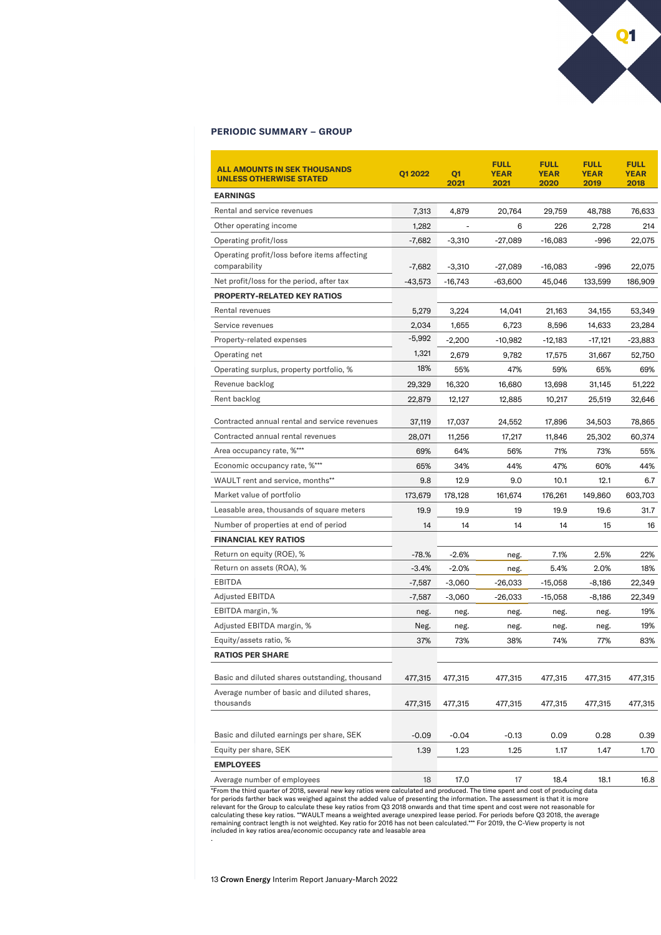#### **PERIODIC SUMMARY – GROUP**

| <b>ALL AMOUNTS IN SEK THOUSANDS</b><br><b>UNLESS OTHERWISE STATED</b> | Q1 2022  | Q <sub>1</sub><br>2021 | <b>FULL</b><br><b>YEAR</b><br>2021 | <b>FULL</b><br><b>YEAR</b><br>2020 | <b>FULL</b><br><b>YEAR</b><br>2019 | <b>FULL</b><br><b>YEAR</b><br>2018 |
|-----------------------------------------------------------------------|----------|------------------------|------------------------------------|------------------------------------|------------------------------------|------------------------------------|
| <b>EARNINGS</b>                                                       |          |                        |                                    |                                    |                                    |                                    |
| Rental and service revenues                                           | 7,313    | 4,879                  | 20,764                             | 29,759                             | 48,788                             | 76,633                             |
| Other operating income                                                | 1,282    |                        | 6                                  | 226                                | 2,728                              | 214                                |
| Operating profit/loss                                                 | $-7,682$ | $-3,310$               | $-27,089$                          | $-16,083$                          | $-996$                             | 22,075                             |
| Operating profit/loss before items affecting                          |          |                        |                                    |                                    |                                    |                                    |
| comparability                                                         | $-7,682$ | $-3,310$               | $-27,089$                          | $-16,083$                          | $-996$                             | 22,075                             |
| Net profit/loss for the period, after tax                             | -43,573  | -16,743                | $-63,600$                          | 45,046                             | 133,599                            | 186,909                            |
| <b>PROPERTY-RELATED KEY RATIOS</b>                                    |          |                        |                                    |                                    |                                    |                                    |
| Rental revenues                                                       | 5,279    | 3,224                  | 14,041                             | 21,163                             | 34,155                             | 53,349                             |
| Service revenues                                                      | 2,034    | 1,655                  | 6,723                              | 8,596                              | 14,633                             | 23,284                             |
| Property-related expenses                                             | $-5,992$ | $-2,200$               | $-10,982$                          | $-12,183$                          | -17,121                            | -23,883                            |
| Operating net                                                         | 1,321    | 2,679                  | 9,782                              | 17,575                             | 31,667                             | 52,750                             |
| Operating surplus, property portfolio, %                              | 18%      | 55%                    | 47%                                | 59%                                | 65%                                | 69%                                |
| Revenue backlog                                                       | 29,329   | 16,320                 | 16,680                             | 13,698                             | 31,145                             | 51,222                             |
| Rent backlog                                                          | 22,879   | 12,127                 | 12,885                             | 10,217                             | 25,519                             | 32,646                             |
| Contracted annual rental and service revenues                         | 37,119   | 17,037                 | 24,552                             | 17,896                             | 34,503                             | 78,865                             |
| Contracted annual rental revenues                                     | 28,071   | 11,256                 | 17,217                             | 11,846                             | 25,302                             | 60,374                             |
| Area occupancy rate, %***                                             | 69%      | 64%                    | 56%                                | 71%                                | 73%                                | 55%                                |
| Economic occupancy rate, %***                                         | 65%      | 34%                    | 44%                                | 47%                                | 60%                                | 44%                                |
| WAULT rent and service, months**                                      | 9.8      | 12.9                   | 9.0                                | 10.1                               | 12.1                               | 6.7                                |
| Market value of portfolio                                             | 173,679  | 178,128                | 161,674                            | 176,261                            | 149,860                            | 603,703                            |
| Leasable area, thousands of square meters                             | 19.9     | 19.9                   | 19                                 | 19.9                               | 19.6                               | 31.7                               |
| Number of properties at end of period                                 | 14       | 14                     | 14                                 | 14                                 | 15                                 | 16                                 |
| <b>FINANCIAL KEY RATIOS</b>                                           |          |                        |                                    |                                    |                                    |                                    |
| Return on equity (ROE), %                                             | $-78.%$  | $-2.6%$                | neg.                               | 7.1%                               | 2.5%                               | 22%                                |
| Return on assets (ROA), %                                             | $-3.4%$  | $-2.0%$                | neg.                               | 5.4%                               | 2.0%                               | 18%                                |
| EBITDA                                                                | $-7,587$ | $-3,060$               | -26,033                            | $-15,058$                          | -8,186                             | 22,349                             |
| Adjusted EBITDA                                                       | $-7,587$ | $-3,060$               | $-26,033$                          | $-15,058$                          | $-8,186$                           | 22,349                             |
| EBITDA margin, %                                                      | neg.     | neg.                   | neg.                               | neg.                               | neg.                               | 19%                                |
| Adjusted EBITDA margin, %                                             | Neg.     | neg.                   | neg.                               | neg.                               | neg.                               | 19%                                |
| Equity/assets ratio, %                                                | 37%      | 73%                    | 38%                                | 74%                                | 77%                                | 83%                                |
| <b>RATIOS PER SHARE</b>                                               |          |                        |                                    |                                    |                                    |                                    |
| Basic and diluted shares outstanding, thousand                        | 477,315  | 477,315                | 477,315                            | 477,315                            | 477,315                            | 477,315                            |
| Average number of basic and diluted shares,<br>thousands              | 477,315  | 477,315                | 477,315                            | 477,315                            | 477,315                            | 477,315                            |
| Basic and diluted earnings per share, SEK                             | $-0.09$  | $-0.04$                | $-0.13$                            | 0.09                               | 0.28                               | 0.39                               |
| Equity per share, SEK                                                 | 1.39     | 1.23                   | 1.25                               | 1.17                               | 1.47                               | 1.70                               |
| <b>EMPLOYEES</b>                                                      |          |                        |                                    |                                    |                                    |                                    |
| Average number of employees                                           | 18       | 17.0                   | 17                                 | 18.4                               | 18.1                               | 16.8                               |

Q1

"From the third quarter of 2018, several new key ratios were calculated and produced. The time spent and cost of producing data<br>for periods farther back was weighed against the added value of presenting the information. Th included in key ratios area/economic occupancy rate and leasable area

13 Crown Energy Interim Report January-March 2022

.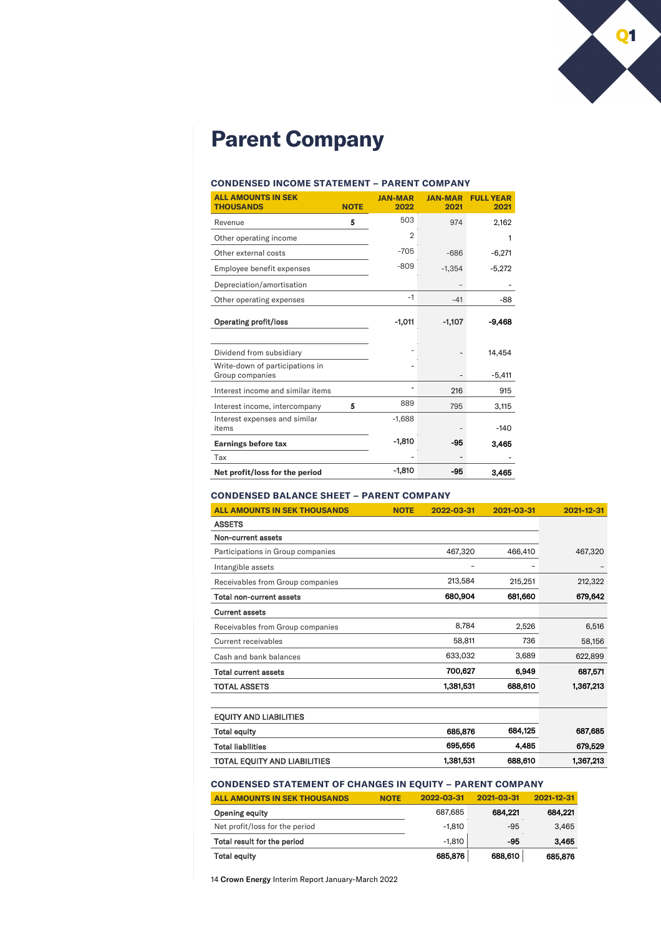

# **Parent Company**

#### **CONDENSED INCOME STATEMENT – PARENT COMPANY**

| <b>ALL AMOUNTS IN SEK</b><br><b>THOUSANDS</b>      | <b>NOTE</b> | <b>JAN-MAR</b><br>2022 | <b>JAN-MAR</b><br>2021 | <b>FULL YEAR</b><br>2021 |
|----------------------------------------------------|-------------|------------------------|------------------------|--------------------------|
| Revenue                                            | 5           | 503                    | 974                    | 2,162                    |
| Other operating income                             |             | $\overline{2}$         |                        | 1                        |
| Other external costs                               |             | $-705$                 | $-686$                 | $-6,271$                 |
| Employee benefit expenses                          |             | $-809$                 | $-1,354$               | $-5,272$                 |
| Depreciation/amortisation                          |             |                        |                        |                          |
| Other operating expenses                           |             | $-1$                   | $-41$                  | -88                      |
| <b>Operating profit/loss</b>                       |             | $-1,011$               | $-1,107$               | -9.468                   |
|                                                    |             |                        |                        |                          |
| Dividend from subsidiary                           |             |                        |                        | 14,454                   |
| Write-down of participations in<br>Group companies |             |                        |                        | $-5.411$                 |
| Interest income and similar items                  |             |                        | 216                    | 915                      |
| Interest income, intercompany                      | 5           | 889                    | 795                    | 3,115                    |
| Interest expenses and similar<br>items             |             | $-1,688$               |                        | $-140$                   |
| <b>Earnings before tax</b>                         |             | $-1,810$               | -95                    | 3,465                    |
| Tax                                                |             |                        |                        |                          |
| Net profit/loss for the period                     |             | -1.810                 | -95                    | 3,465                    |

### **CONDENSED BALANCE SHEET – PARENT COMPANY**

| <b>ALL AMOUNTS IN SEK THOUSANDS</b> | <b>NOTE</b> | 2022-03-31 | 2021-03-31 | 2021-12-31 |
|-------------------------------------|-------------|------------|------------|------------|
| <b>ASSETS</b>                       |             |            |            |            |
| Non-current assets                  |             |            |            |            |
| Participations in Group companies   |             | 467,320    | 466,410    | 467,320    |
| Intangible assets                   |             |            |            |            |
| Receivables from Group companies    |             | 213.584    | 215.251    | 212,322    |
| <b>Total non-current assets</b>     |             | 680,904    | 681,660    | 679,642    |
| <b>Current assets</b>               |             |            |            |            |
| Receivables from Group companies    |             | 8,784      | 2,526      | 6,516      |
| Current receivables                 |             | 58,811     | 736        | 58,156     |
| Cash and bank balances              |             | 633,032    | 3,689      | 622,899    |
| <b>Total current assets</b>         |             | 700,627    | 6,949      | 687,571    |
| <b>TOTAL ASSETS</b>                 |             | 1,381,531  | 688,610    | 1,367,213  |
| <b>EQUITY AND LIABILITIES</b>       |             |            |            |            |
| <b>Total equity</b>                 |             | 685,876    | 684,125    | 687,685    |
| <b>Total liabilities</b>            |             | 695,656    | 4,485      | 679,529    |
| TOTAL EQUITY AND LIABILITIES        |             | 1,381,531  | 688,610    | 1,367,213  |

### **CONDENSED STATEMENT OF CHANGES IN EQUITY – PARENT COMPANY**

| <b>ALL AMOUNTS IN SEK THOUSANDS</b> | <b>NOTE</b> | 2022-03-31 | 2021-03-31 | 2021-12-31 |
|-------------------------------------|-------------|------------|------------|------------|
| <b>Opening equity</b>               |             | 687.685    | 684.221    | 684.221    |
| Net profit/loss for the period      |             | $-1.810$   | -95        | 3.465      |
| Total result for the period         |             | $-1.810$   | -95        | 3,465      |
| <b>Total equity</b>                 |             | 685,876    | 688,610    | 685,876    |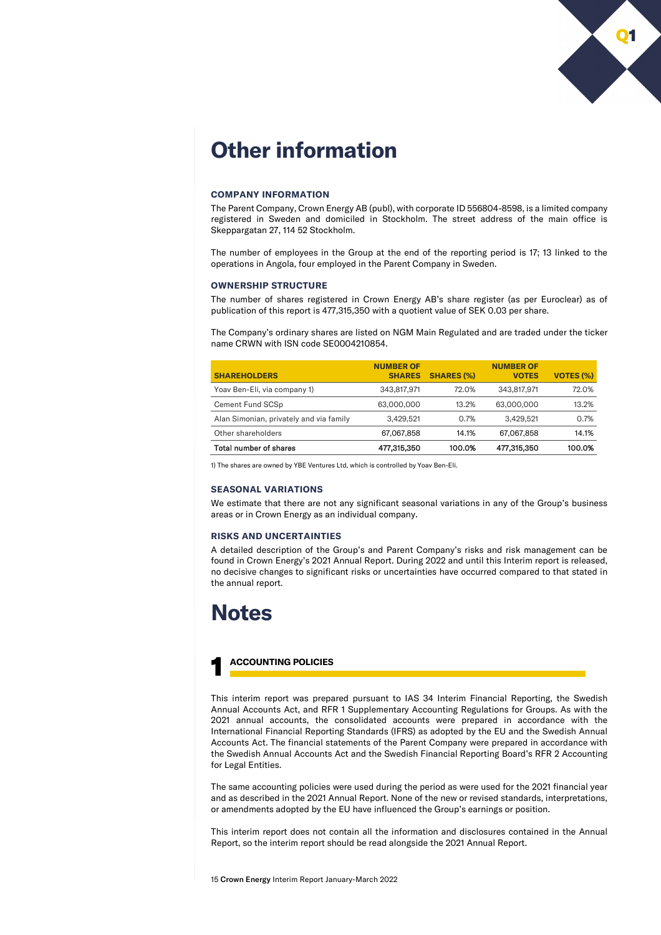

# **Other information**

#### **COMPANY INFORMATION**

The Parent Company, Crown Energy AB (publ), with corporate ID 556804-8598, is a limited company registered in Sweden and domiciled in Stockholm. The street address of the main office is Skeppargatan 27, 114 52 Stockholm.

The number of employees in the Group at the end of the reporting period is 17; 13 linked to the operations in Angola, four employed in the Parent Company in Sweden.

#### **OWNERSHIP STRUCTURE**

The number of shares registered in Crown Energy AB's share register (as per Euroclear) as of publication of this report is 477,315,350 with a quotient value of SEK 0.03 per share.

The Company's ordinary shares are listed on NGM Main Regulated and are traded under the ticker name CRWN with ISN code SE0004210854.

| <b>SHAREHOLDERS</b>                     | <b>NUMBER OF</b><br><b>SHARES</b> | <b>SHARES (%)</b> | <b>NUMBER OF</b><br><b>VOTES</b> | <b>VOTES (%)</b> |
|-----------------------------------------|-----------------------------------|-------------------|----------------------------------|------------------|
| Yoav Ben-Eli, via company 1)            | 343.817.971                       | 72.0%             | 343.817.971                      | 72.0%            |
| Cement Fund SCSp                        | 63,000,000                        | 13.2%             | 63,000,000                       | 13.2%            |
| Alan Simonian, privately and via family | 3,429,521                         | 0.7%              | 3,429,521                        | 0.7%             |
| Other shareholders                      | 67,067,858                        | 14.1%             | 67.067.858                       | 14.1%            |
| Total number of shares                  | 477,315,350                       | 100.0%            | 477.315.350                      | 100.0%           |

1) The shares are owned by YBE Ventures Ltd, which is controlled by Yoav Ben-Eli.

#### **SEASONAL VARIATIONS**

We estimate that there are not any significant seasonal variations in any of the Group's business areas or in Crown Energy as an individual company.

#### **RISKS AND UNCERTAINTIES**

A detailed description of the Group's and Parent Company's risks and risk management can be found in Crown Energy's 2021 Annual Report. During 2022 and until this Interim report is released, no decisive changes to significant risks or uncertainties have occurred compared to that stated in the annual report.

### **Notes**

### 1 **ACCOUNTING POLICIES**

This interim report was prepared pursuant to IAS 34 Interim Financial Reporting, the Swedish Annual Accounts Act, and RFR 1 Supplementary Accounting Regulations for Groups. As with the 2021 annual accounts, the consolidated accounts were prepared in accordance with the International Financial Reporting Standards (IFRS) as adopted by the EU and the Swedish Annual Accounts Act. The financial statements of the Parent Company were prepared in accordance with the Swedish Annual Accounts Act and the Swedish Financial Reporting Board's RFR 2 Accounting for Legal Entities.

The same accounting policies were used during the period as were used for the 2021 financial year and as described in the 2021 Annual Report. None of the new or revised standards, interpretations, or amendments adopted by the EU have influenced the Group's earnings or position.

This interim report does not contain all the information and disclosures contained in the Annual Report, so the interim report should be read alongside the 2021 Annual Report.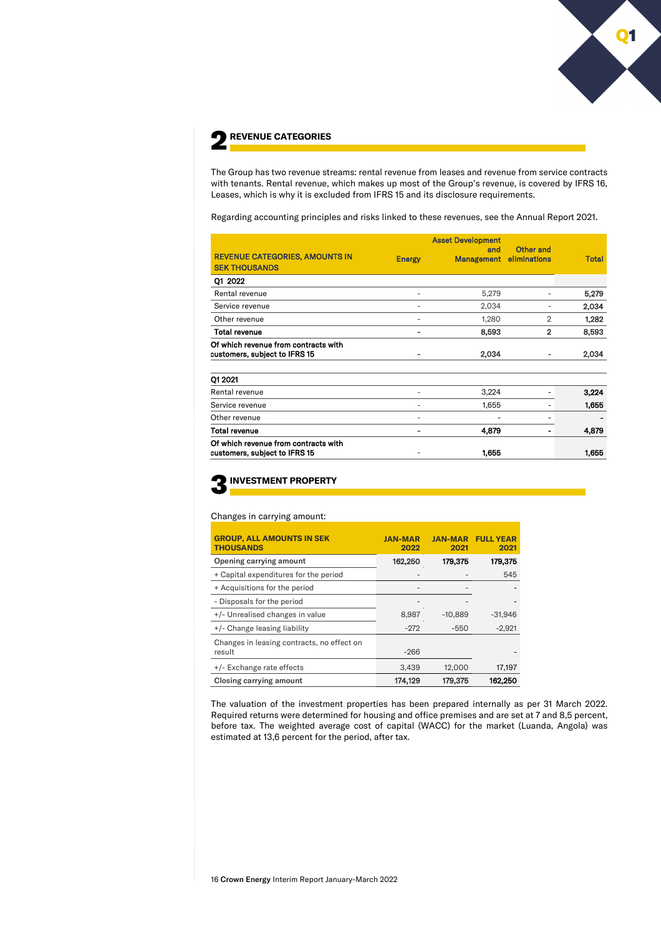

The Group has two revenue streams: rental revenue from leases and revenue from service contracts with tenants. Rental revenue, which makes up most of the Group's revenue, is covered by IFRS 16, Leases, which is why it is excluded from IFRS 15 and its disclosure requirements.

Regarding accounting principles and risks linked to these revenues, see the Annual Report 2021.

| <b>REVENUE CATEGORIES, AMOUNTS IN</b><br><b>SEK THOUSANDS</b>         | <b>Energy</b> | <b>Asset Development</b><br>and<br>Management | Other and<br>eliminations | <b>Total</b> |
|-----------------------------------------------------------------------|---------------|-----------------------------------------------|---------------------------|--------------|
| Q1 2022                                                               |               |                                               |                           |              |
| Rental revenue                                                        | ٠             | 5,279                                         |                           | 5,279        |
| Service revenue                                                       | ٠             | 2,034                                         |                           | 2,034        |
| Other revenue                                                         | ٠             | 1,280                                         | $\overline{2}$            | 1,282        |
| <b>Total revenue</b>                                                  | ۰             | 8,593                                         | $\overline{2}$            | 8,593        |
| Of which revenue from contracts with<br>customers, subject to IFRS 15 | ۰             | 2,034                                         |                           | 2,034        |
| Q1 2021                                                               |               |                                               |                           |              |
| Rental revenue                                                        | ٠             | 3,224                                         |                           | 3,224        |
| Service revenue                                                       | ٠             | 1,655                                         |                           | 1,655        |
| Other revenue                                                         |               |                                               |                           |              |
| Total revenue                                                         |               | 4,879                                         |                           | 4,879        |
| Of which revenue from contracts with<br>customers, subject to IFRS 15 |               | 1,655                                         |                           | 1,655        |

### 3**INVESTMENT PROPERTY**

#### Changes in carrying amount:

| <b>GROUP, ALL AMOUNTS IN SEK</b><br><b>THOUSANDS</b> | <b>JAN-MAR</b><br>2022 | <b>JAN-MAR</b><br>2021 | <b>FULL YEAR</b><br>2021 |
|------------------------------------------------------|------------------------|------------------------|--------------------------|
| Opening carrying amount                              | 162,250                | 179,375                | 179,375                  |
| + Capital expenditures for the period                | $\qquad \qquad =$      |                        | 545                      |
| + Acquisitions for the period                        | $\qquad \qquad =$      |                        |                          |
| - Disposals for the period                           |                        |                        |                          |
| +/- Unrealised changes in value                      | 8,987                  | $-10,889$              | $-31,946$                |
| +/- Change leasing liability                         | $-272$                 | $-550$                 | $-2,921$                 |
| Changes in leasing contracts, no effect on<br>result | $-266$                 |                        |                          |
| +/- Exchange rate effects                            | 3,439                  | 12,000                 | 17,197                   |
| Closing carrying amount                              | 174.129                | 179.375                | 162.250                  |

The valuation of the investment properties has been prepared internally as per 31 March 2022. Required returns were determined for housing and office premises and are set at 7 and 8,5 percent, before tax. The weighted average cost of capital (WACC) for the market (Luanda, Angola) was estimated at 13,6 percent for the period, after tax.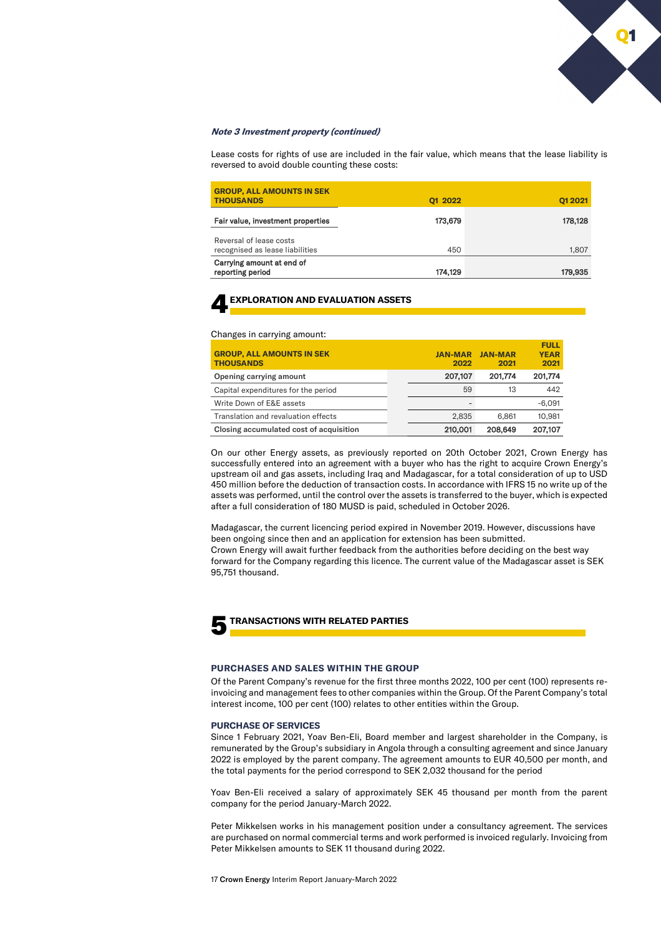#### **Note 3 Investment property (continued)**

Lease costs for rights of use are included in the fair value, which means that the lease liability is reversed to avoid double counting these costs:

| <b>GROUP, ALL AMOUNTS IN SEK</b><br><b>THOUSANDS</b>       | 01 2022 | Q1 2021 |
|------------------------------------------------------------|---------|---------|
| Fair value, investment properties                          | 173,679 | 178,128 |
| Reversal of lease costs<br>recognised as lease liabilities | 450     | 1,807   |
| Carrying amount at end of<br>reporting period              | 174,129 | 179,935 |

### 4**EXPLORATION AND EVALUATION ASSETS**

Changes in carrying amount:

| <b>GROUP, ALL AMOUNTS IN SEK</b><br><b>THOUSANDS</b> | <b>JAN-MAR</b><br>2022 | <b>JAN-MAR</b><br>2021 | FULL<br><b>YEAR</b><br>2021 |
|------------------------------------------------------|------------------------|------------------------|-----------------------------|
| Opening carrying amount                              | 207,107                | 201.774                | 201,774                     |
| Capital expenditures for the period                  | 59                     | 13                     | 442                         |
| Write Down of E&E assets                             |                        |                        | $-6.091$                    |
| Translation and revaluation effects                  | 2.835                  | 6.861                  | 10.981                      |
| Closing accumulated cost of acquisition              | 210,001                | 208,649                | 207.107                     |

On our other Energy assets, as previously reported on 20th October 2021, Crown Energy has successfully entered into an agreement with a buyer who has the right to acquire Crown Energy's upstream oil and gas assets, including Iraq and Madagascar, for a total consideration of up to USD 450 million before the deduction of transaction costs. In accordance with IFRS 15 no write up of the assets was performed, until the control over the assets is transferred to the buyer, which is expected after a full consideration of 180 MUSD is paid, scheduled in October 2026.

Madagascar, the current licencing period expired in November 2019. However, discussions have been ongoing since then and an application for extension has been submitted. Crown Energy will await further feedback from the authorities before deciding on the best way forward for the Company regarding this licence. The current value of the Madagascar asset is SEK 95,751 thousand.



#### 5**TRANSACTIONS WITH RELATED PARTIES**

#### **PURCHASES AND SALES WITHIN THE GROUP**

Of the Parent Company's revenue for the first three months 2022, 100 per cent (100) represents reinvoicing and management fees to other companies within the Group. Of the Parent Company's total interest income, 100 per cent (100) relates to other entities within the Group.

#### **PURCHASE OF SERVICES**

Since 1 February 2021, Yoav Ben-Eli, Board member and largest shareholder in the Company, is remunerated by the Group's subsidiary in Angola through a consulting agreement and since January 2022 is employed by the parent company. The agreement amounts to EUR 40,500 per month, and the total payments for the period correspond to SEK 2,032 thousand for the period

Yoav Ben-Eli received a salary of approximately SEK 45 thousand per month from the parent company for the period January-March 2022.

Peter Mikkelsen works in his management position under a consultancy agreement. The services are purchased on normal commercial terms and work performed is invoiced regularly. Invoicing from Peter Mikkelsen amounts to SEK 11 thousand during 2022.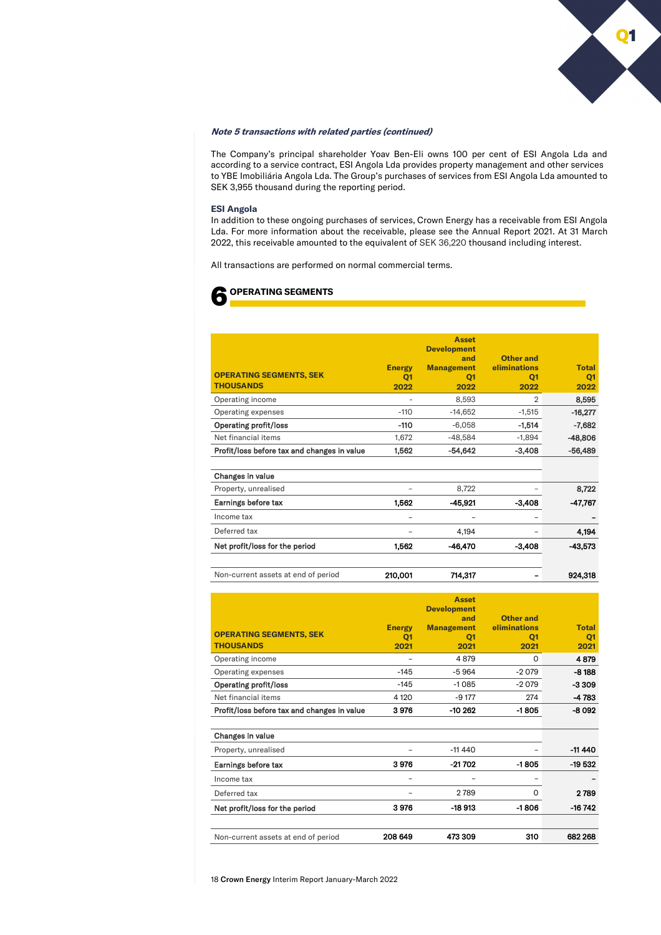

#### **Note 5 transactions with related parties (continued)**

The Company's principal shareholder Yoav Ben-Eli owns 100 per cent of ESI Angola Lda and according to a service contract, ESI Angola Lda provides property management and other services to YBE Imobiliária Angola Lda. The Group's purchases of services from ESI Angola Lda amounted to SEK 3,955 thousand during the reporting period.

#### **ESI Angola**

In addition to these ongoing purchases of services, Crown Energy has a receivable from ESI Angola Lda. For more information about the receivable, please see the Annual Report 2021. At 31 March 2022, this receivable amounted to the equivalent of SEK 36,220 thousand including interest.

All transactions are performed on normal commercial terms.



| <b>OPERATING SEGMENTS, SEK</b><br><b>THOUSANDS</b> | <b>Energy</b><br>Q <sub>1</sub><br>2022 | <b>Asset</b><br><b>Development</b><br>and<br><b>Management</b><br>Q <sub>1</sub><br>2022 | Other and<br>eliminations<br>Q <sub>1</sub><br>2022 | <b>Total</b><br>Q <sub>1</sub><br>2022 |
|----------------------------------------------------|-----------------------------------------|------------------------------------------------------------------------------------------|-----------------------------------------------------|----------------------------------------|
| Operating income                                   |                                         | 8,593                                                                                    | $\overline{2}$                                      | 8,595                                  |
| Operating expenses                                 | $-110$                                  | $-14,652$                                                                                | $-1,515$                                            | $-16,277$                              |
| <b>Operating profit/loss</b>                       | -110                                    | $-6,058$                                                                                 | $-1,514$                                            | $-7,682$                               |
| Net financial items                                | 1,672                                   | $-48,584$                                                                                | $-1,894$                                            | $-48,806$                              |
| Profit/loss before tax and changes in value        | 1,562                                   | $-54,642$                                                                                | $-3,408$                                            | $-56,489$                              |
| Changes in value                                   |                                         |                                                                                          |                                                     |                                        |
| Property, unrealised                               |                                         | 8,722                                                                                    |                                                     | 8,722                                  |
| Earnings before tax                                | 1,562                                   | -45,921                                                                                  | $-3,408$                                            | -47,767                                |
| Income tax                                         |                                         |                                                                                          |                                                     |                                        |
| Deferred tax                                       |                                         | 4,194                                                                                    |                                                     | 4,194                                  |
| Net profit/loss for the period                     | 1,562                                   | -46,470                                                                                  | $-3,408$                                            | -43.573                                |
| Non-current assets at end of period                | 210,001                                 | 714,317                                                                                  |                                                     | 924,318                                |

| <b>OPERATING SEGMENTS, SEK</b><br><b>THOUSANDS</b> | <b>Energy</b><br>O <sub>1</sub><br>2021 | <b>Asset</b><br><b>Development</b><br>and<br><b>Management</b><br>O <sub>1</sub><br>2021 | Other and<br>eliminations<br>O <sub>1</sub><br>2021 | <b>Total</b><br>Q <sub>1</sub><br>2021 |
|----------------------------------------------------|-----------------------------------------|------------------------------------------------------------------------------------------|-----------------------------------------------------|----------------------------------------|
| Operating income                                   |                                         | 4879                                                                                     | $\Omega$                                            | 4879                                   |
| Operating expenses                                 | $-145$                                  | $-5964$                                                                                  | $-2079$                                             | $-8188$                                |
| <b>Operating profit/loss</b>                       | $-145$                                  | $-1085$                                                                                  | $-2079$                                             | $-3309$                                |
| Net financial items                                | 4 1 2 0                                 | $-9177$                                                                                  | 274                                                 | $-4783$                                |
| Profit/loss before tax and changes in value        | 3976                                    | $-10262$                                                                                 | -1805                                               | $-8092$                                |
| Changes in value<br>Property, unrealised           |                                         | $-11440$                                                                                 |                                                     | $-11440$                               |
| Earnings before tax                                | 3976                                    | $-21702$                                                                                 | $-1805$                                             | $-19532$                               |
| Income tax                                         |                                         |                                                                                          |                                                     |                                        |
| Deferred tax                                       |                                         | 2789                                                                                     | 0                                                   | 2789                                   |
| Net profit/loss for the period                     | 3976                                    | -18913                                                                                   | -1806                                               | $-16742$                               |
| Non-current assets at end of period                | 208 649                                 | 473 309                                                                                  | 310                                                 | 682 268                                |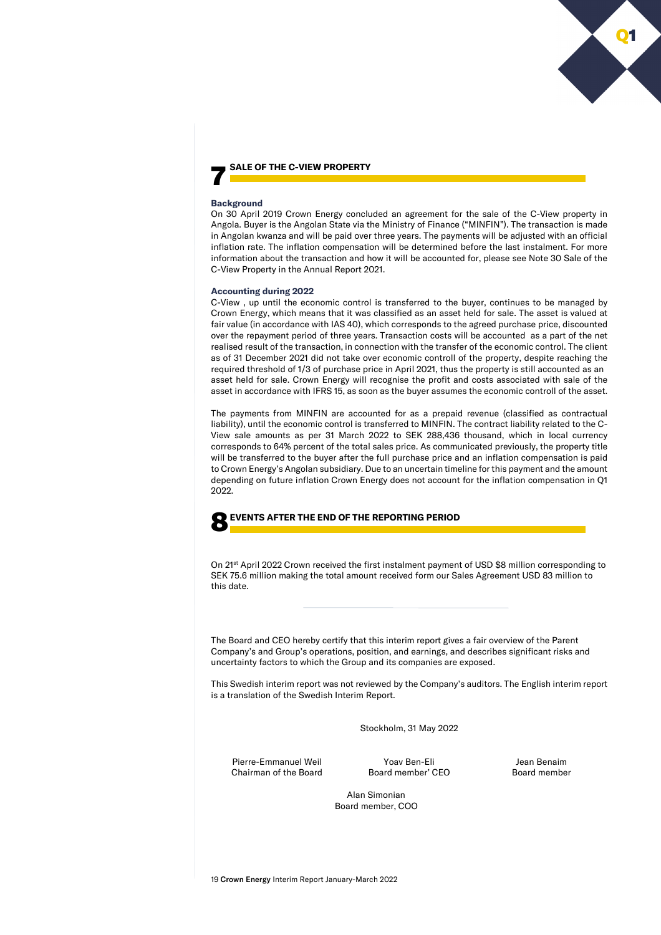#### 7 **SALE OF THE C-VIEW PROPERTY**

#### **Background**

On 30 April 2019 Crown Energy concluded an agreement for the sale of the C-View property in Angola. Buyer is the Angolan State via the Ministry of Finance ("MINFIN"). The transaction is made in Angolan kwanza and will be paid over three years. The payments will be adjusted with an official inflation rate. The inflation compensation will be determined before the last instalment. For more information about the transaction and how it will be accounted for, please see Note 30 Sale of the C-View Property in the Annual Report 2021.

#### **Accounting during 2022**

C-View , up until the economic control is transferred to the buyer, continues to be managed by Crown Energy, which means that it was classified as an asset held for sale. The asset is valued at fair value (in accordance with IAS 40), which corresponds to the agreed purchase price, discounted over the repayment period of three years. Transaction costs will be accounted as a part of the net realised result of the transaction, in connection with the transfer of the economic control. The client as of 31 December 2021 did not take over economic controll of the property, despite reaching the required threshold of 1/3 of purchase price in April 2021, thus the property is still accounted as an asset held for sale. Crown Energy will recognise the profit and costs associated with sale of the asset in accordance with IFRS 15, as soon as the buyer assumes the economic controll of the asset.

The payments from MINFIN are accounted for as a prepaid revenue (classified as contractual liability), until the economic control is transferred to MINFIN. The contract liability related to the C-View sale amounts as per 31 March 2022 to SEK 288,436 thousand, which in local currency corresponds to 64% percent of the total sales price. As communicated previously, the property title will be transferred to the buyer after the full purchase price and an inflation compensation is paid to Crown Energy's Angolan subsidiary. Due to an uncertain timeline for this payment and the amount depending on future inflation Crown Energy does not account for the inflation compensation in Q1 2022.

#### 8**EVENTS AFTER THE END OF THE REPORTING PERIOD**

On 21<sup>st</sup> April 2022 Crown received the first instalment payment of USD \$8 million corresponding to SEK 75.6 million making the total amount received form our Sales Agreement USD 83 million to this date.

The Board and CEO hereby certify that this interim report gives a fair overview of the Parent Company's and Group's operations, position, and earnings, and describes significant risks and uncertainty factors to which the Group and its companies are exposed.

This Swedish interim report was not reviewed by the Company's auditors. The English interim report is a translation of the Swedish Interim Report.

Stockholm, 31 May 2022

Pierre-Emmanuel Weil Chairman of the Board

Yoav Ben-Eli Board member' CEO

Jean Benaim Board member

Alan Simonian Board member, COO

Q1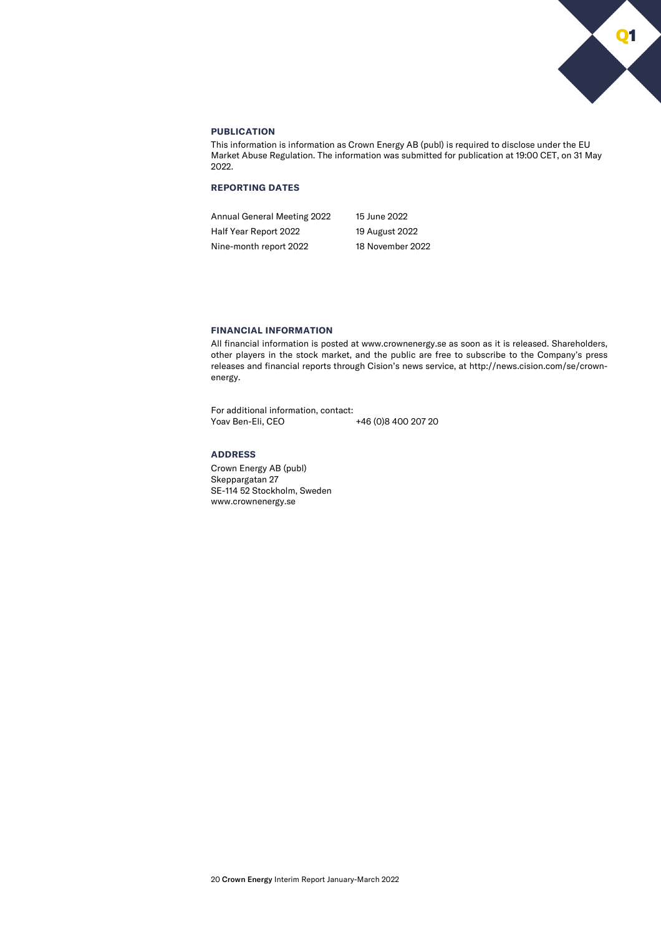

### **PUBLICATION**

This information is information as Crown Energy AB (publ) is required to disclose under the EU Market Abuse Regulation. The information was submitted for publication at 19:00 CET, on 31 May 2022.

### **REPORTING DATES**

Annual General Meeting 2022 15 June 2022 Half Year Report 2022 19 August 2022 Nine-month report 2022 18 November 2022

#### **FINANCIAL INFORMATION**

All financial information is posted at www.crownenergy.se as soon as it is released. Shareholders, other players in the stock market, and the public are free to subscribe to the Company's press releases and financial reports through Cision's news service, at http://news.cision.com/se/crownenergy.

For additional information, contact:<br>Yoav Ben-Eli, CEO +46 (0)8 400 207 20

#### **ADDRESS**

Crown Energy AB (publ) Skeppargatan 27 SE-114 52 Stockholm, Sweden www.crownenergy.se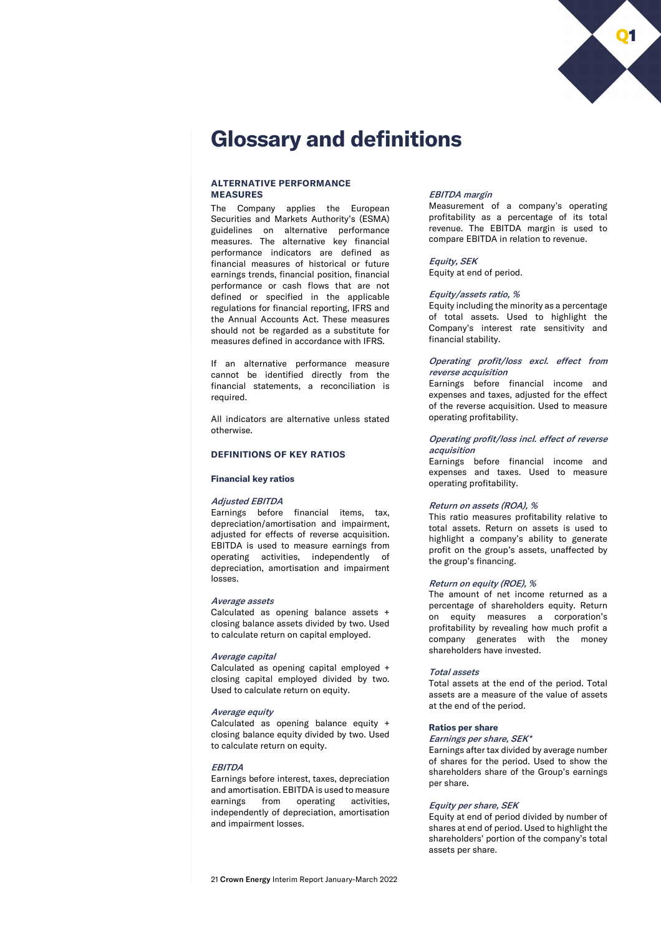

# **Glossary and definitions**

#### **ALTERNATIVE PERFORMANCE MEASURES**

The Company applies the European Securities and Markets Authority's (ESMA) guidelines on alternative performance measures. The alternative key financial performance indicators are defined as financial measures of historical or future earnings trends, financial position, financial performance or cash flows that are not defined or specified in the applicable regulations for financial reporting, IFRS and the Annual Accounts Act. These measures should not be regarded as a substitute for measures defined in accordance with IFRS.

If an alternative performance measure cannot be identified directly from the financial statements, a reconciliation is required.

All indicators are alternative unless stated otherwise.

#### **DEFINITIONS OF KEY RATIOS**

#### **Financial key ratios**

#### Adjusted EBITDA

Earnings before financial items, tax, depreciation/amortisation and impairment, adjusted for effects of reverse acquisition. EBITDA is used to measure earnings from operating activities, independently of depreciation, amortisation and impairment losses.

#### Average assets

Calculated as opening balance assets + closing balance assets divided by two. Used to calculate return on capital employed.

#### Average capital

Calculated as opening capital employed + closing capital employed divided by two. Used to calculate return on equity.

#### Average equity

Calculated as opening balance equity + closing balance equity divided by two. Used to calculate return on equity.

#### **EBITDA**

Earnings before interest, taxes, depreciation and amortisation. EBITDA is used to measure earnings from operating activities, independently of depreciation, amortisation and impairment losses.

### EBITDA margin

Measurement of a company's operating profitability as a percentage of its total revenue. The EBITDA margin is used to compare EBITDA in relation to revenue.

#### Equity, SEK

Equity at end of period.

#### Equity/assets ratio, %

Equity including the minority as a percentage of total assets. Used to highlight the Company's interest rate sensitivity and financial stability.

#### Operating profit/loss excl. effect from reverse acquisition

Earnings before financial income and expenses and taxes, adjusted for the effect of the reverse acquisition. Used to measure operating profitability.

#### Operating profit/loss incl. effect of reverse acquisition

Earnings before financial income and expenses and taxes. Used to measure operating profitability.

#### Return on assets (ROA), %

This ratio measures profitability relative to total assets. Return on assets is used to highlight a company's ability to generate profit on the group's assets, unaffected by the group's financing.

#### Return on equity (ROE), %

The amount of net income returned as a percentage of shareholders equity. Return on equity measures a corporation's profitability by revealing how much profit a company generates with the money shareholders have invested.

#### Total assets

Total assets at the end of the period. Total assets are a measure of the value of assets at the end of the period.

#### **Ratios per share**

#### Earnings per share, SEK\*

Earnings after tax divided by average number of shares for the period. Used to show the shareholders share of the Group's earnings per share.

#### Equity per share, SEK

Equity at end of period divided by number of shares at end of period. Used to highlight the shareholders' portion of the company's total assets per share.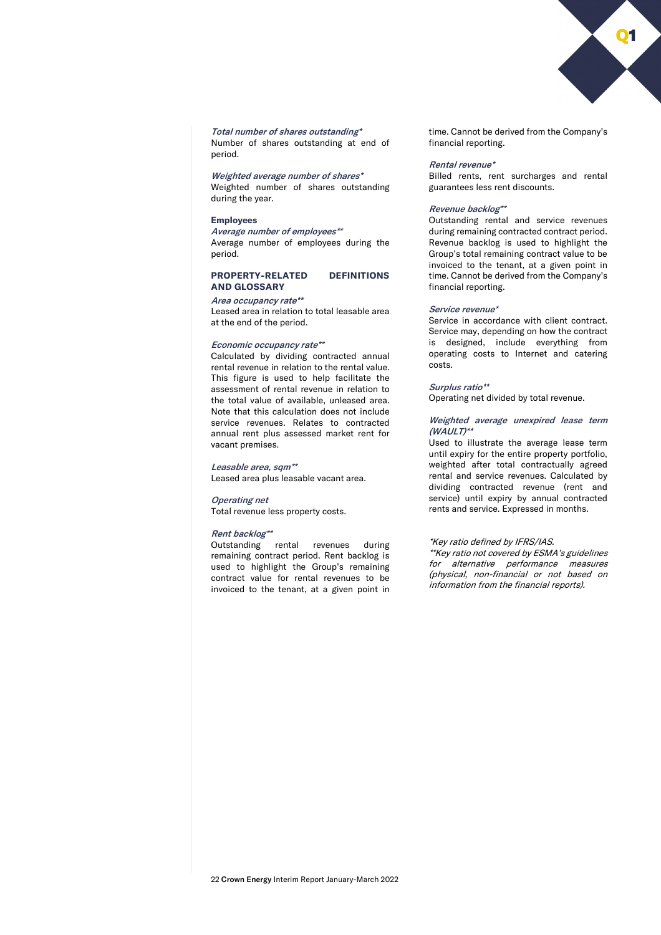

Total number of shares outstanding\* Number of shares outstanding at end of period.

Weighted average number of shares\*

Weighted number of shares outstanding during the year.

#### **Employees**

Average number of employees\*\* Average number of employees during the period.

#### **PROPERTY-RELATED DEFINITIONS AND GLOSSARY**

#### Area occupancy rate\*\*

Leased area in relation to total leasable area at the end of the period.

#### Economic occupancy rate\*\*

Calculated by dividing contracted annual rental revenue in relation to the rental value. This figure is used to help facilitate the assessment of rental revenue in relation to the total value of available, unleased area. Note that this calculation does not include service revenues. Relates to contracted annual rent plus assessed market rent for vacant premises.

#### Leasable area, sqm<sup>\*\*</sup>

Leased area plus leasable vacant area.

#### Operating net

Total revenue less property costs.

#### Rent backlog\*\*

Outstanding rental revenues during remaining contract period. Rent backlog is used to highlight the Group's remaining contract value for rental revenues to be invoiced to the tenant, at a given point in time. Cannot be derived from the Company's financial reporting.

#### Rental revenue\*

Billed rents, rent surcharges and rental guarantees less rent discounts.

#### Revenue backlog\*\*

Outstanding rental and service revenues during remaining contracted contract period. Revenue backlog is used to highlight the Group's total remaining contract value to be invoiced to the tenant, at a given point in time. Cannot be derived from the Company's financial reporting.

#### Service revenue\*

Service in accordance with client contract. Service may, depending on how the contract is designed, include everything from operating costs to Internet and catering costs.

#### Surplus ratio\*\*

Operating net divided by total revenue.

#### Weighted average unexpired lease term  $(WAULT)^*$

Used to illustrate the average lease term until expiry for the entire property portfolio, weighted after total contractually agreed rental and service revenues. Calculated by dividing contracted revenue (rent and service) until expiry by annual contracted rents and service. Expressed in months.

#### \*Key ratio defined by IFRS/IAS.

\*\*Key ratio not covered by ESMA's guidelines for alternative performance measures (physical, non-financial or not based on information from the financial reports).